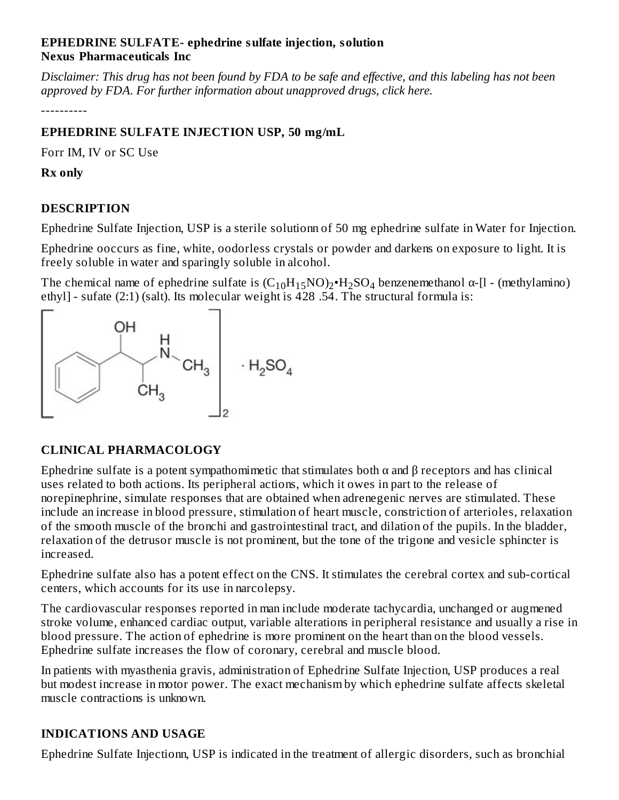#### **EPHEDRINE SULFATE- ephedrine sulfate injection, solution Nexus Pharmaceuticals Inc**

Disclaimer: This drug has not been found by FDA to be safe and effective, and this labeling has not been *approved by FDA. For further information about unapproved drugs, click here.*

----------

# **EPHEDRINE SULFATE INJECTION USP, 50 mg/mL**

Forr IM, IV or SC Use

**Rx only**

# **DESCRIPTION**

Ephedrine Sulfate Injection, USP is a sterile solutionn of 50 mg ephedrine sulfate in Water for Injection.

Ephedrine ooccurs as fine, white, oodorless crystals or powder and darkens on exposure to light. It is freely soluble in water and sparingly soluble in alcohol.

The chemical name of ephedrine sulfate is  $(C_{10}H_{15}NO)_2 \cdot H_2SO_4$  benzenemethanol  $\alpha$ -[l - (methylamino) ethyl] - sufate (2:1) (salt). Its molecular weight is 428 .54. The structural formula is:



# **CLINICAL PHARMACOLOGY**

Ephedrine sulfate is a potent sympathomimetic that stimulates both  $\alpha$  and  $\beta$  receptors and has clinical uses related to both actions. Its peripheral actions, which it owes in part to the release of norepinephrine, simulate responses that are obtained when adrenegenic nerves are stimulated. These include an increase in blood pressure, stimulation of heart muscle, constriction of arterioles, relaxation of the smooth muscle of the bronchi and gastrointestinal tract, and dilation of the pupils. In the bladder, relaxation of the detrusor muscle is not prominent, but the tone of the trigone and vesicle sphincter is increased.

Ephedrine sulfate also has a potent effect on the CNS. It stimulates the cerebral cortex and sub-cortical centers, which accounts for its use in narcolepsy.

The cardiovascular responses reported in man include moderate tachycardia, unchanged or augmened stroke volume, enhanced cardiac output, variable alterations in peripheral resistance and usually a rise in blood pressure. The action of ephedrine is more prominent on the heart than on the blood vessels. Ephedrine sulfate increases the flow of coronary, cerebral and muscle blood.

In patients with myasthenia gravis, administration of Ephedrine Sulfate Injection, USP produces a real but modest increase in motor power. The exact mechanism by which ephedrine sulfate affects skeletal muscle contractions is unknown.

# **INDICATIONS AND USAGE**

Ephedrine Sulfate Injectionn, USP is indicated in the treatment of allergic disorders, such as bronchial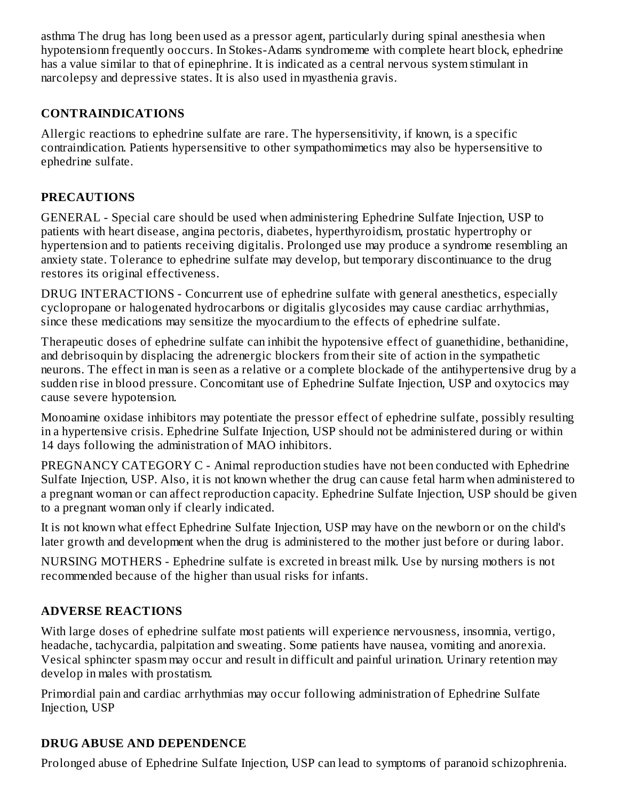asthma The drug has long been used as a pressor agent, particularly during spinal anesthesia when hypotensionn frequently ooccurs. In Stokes-Adams syndromeme with complete heart block, ephedrine has a value similar to that of epinephrine. It is indicated as a central nervous system stimulant in narcolepsy and depressive states. It is also used in myasthenia gravis.

### **CONTRAINDICATIONS**

Allergic reactions to ephedrine sulfate are rare. The hypersensitivity, if known, is a specific contraindication. Patients hypersensitive to other sympathomimetics may also be hypersensitive to ephedrine sulfate.

### **PRECAUTIONS**

GENERAL - Special care should be used when administering Ephedrine Sulfate Injection, USP to patients with heart disease, angina pectoris, diabetes, hyperthyroidism, prostatic hypertrophy or hypertension and to patients receiving digitalis. Prolonged use may produce a syndrome resembling an anxiety state. Tolerance to ephedrine sulfate may develop, but temporary discontinuance to the drug restores its original effectiveness.

DRUG INTERACTIONS - Concurrent use of ephedrine sulfate with general anesthetics, especially cyclopropane or halogenated hydrocarbons or digitalis glycosides may cause cardiac arrhythmias, since these medications may sensitize the myocardium to the effects of ephedrine sulfate.

Therapeutic doses of ephedrine sulfate can inhibit the hypotensive effect of guanethidine, bethanidine, and debrisoquin by displacing the adrenergic blockers from their site of action in the sympathetic neurons. The effect in man is seen as a relative or a complete blockade of the antihypertensive drug by a sudden rise in blood pressure. Concomitant use of Ephedrine Sulfate Injection, USP and oxytocics may cause severe hypotension.

Monoamine oxidase inhibitors may potentiate the pressor effect of ephedrine sulfate, possibly resulting in a hypertensive crisis. Ephedrine Sulfate Injection, USP should not be administered during or within 14 days following the administration of MAO inhibitors.

PREGNANCY CATEGORY C - Animal reproduction studies have not been conducted with Ephedrine Sulfate Injection, USP. Also, it is not known whether the drug can cause fetal harm when administered to a pregnant woman or can affect reproduction capacity. Ephedrine Sulfate Injection, USP should be given to a pregnant woman only if clearly indicated.

It is not known what effect Ephedrine Sulfate Injection, USP may have on the newborn or on the child's later growth and development when the drug is administered to the mother just before or during labor.

NURSING MOTHERS - Ephedrine sulfate is excreted in breast milk. Use by nursing mothers is not recommended because of the higher than usual risks for infants.

# **ADVERSE REACTIONS**

With large doses of ephedrine sulfate most patients will experience nervousness, insomnia, vertigo, headache, tachycardia, palpitation and sweating. Some patients have nausea, vomiting and anorexia. Vesical sphincter spasm may occur and result in difficult and painful urination. Urinary retention may develop in males with prostatism.

Primordial pain and cardiac arrhythmias may occur following administration of Ephedrine Sulfate Injection, USP

# **DRUG ABUSE AND DEPENDENCE**

Prolonged abuse of Ephedrine Sulfate Injection, USP can lead to symptoms of paranoid schizophrenia.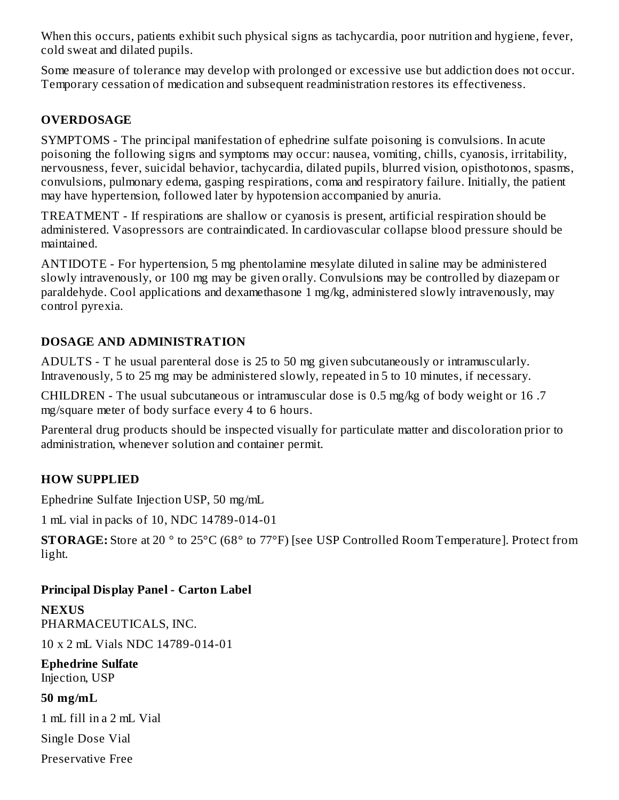When this occurs, patients exhibit such physical signs as tachycardia, poor nutrition and hygiene, fever, cold sweat and dilated pupils.

Some measure of tolerance may develop with prolonged or excessive use but addiction does not occur. Temporary cessation of medication and subsequent readministration restores its effectiveness.

### **OVERDOSAGE**

SYMPTOMS - The principal manifestation of ephedrine sulfate poisoning is convulsions. In acute poisoning the following signs and symptoms may occur: nausea, vomiting, chills, cyanosis, irritability, nervousness, fever, suicidal behavior, tachycardia, dilated pupils, blurred vision, opisthotonos, spasms, convulsions, pulmonary edema, gasping respirations, coma and respiratory failure. Initially, the patient may have hypertension, followed later by hypotension accompanied by anuria.

TREATMENT - If respirations are shallow or cyanosis is present, artificial respiration should be administered. Vasopressors are contraindicated. In cardiovascular collapse blood pressure should be maintained.

ANTIDOTE - For hypertension, 5 mg phentolamine mesylate diluted in saline may be administered slowly intravenously, or 100 mg may be given orally. Convulsions may be controlled by diazepam or paraldehyde. Cool applications and dexamethasone 1 mg/kg, administered slowly intravenously, may control pyrexia.

#### **DOSAGE AND ADMINISTRATION**

ADULTS - T he usual parenteral dose is 25 to 50 mg given subcutaneously or intramuscularly. Intravenously, 5 to 25 mg may be administered slowly, repeated in 5 to 10 minutes, if necessary.

CHILDREN - The usual subcutaneous or intramuscular dose is 0.5 mg/kg of body weight or 16 .7 mg/square meter of body surface every 4 to 6 hours.

Parenteral drug products should be inspected visually for particulate matter and discoloration prior to administration, whenever solution and container permit.

#### **HOW SUPPLIED**

Ephedrine Sulfate Injection USP, 50 mg/mL

1 mL vial in packs of 10, NDC 14789-014-01

**STORAGE:** Store at 20 ° to 25°C (68° to 77°F) [see USP Controlled Room Temperature]. Protect from light.

#### **Principal Display Panel - Carton Label**

**NEXUS** PHARMACEUTICALS, INC.

10 x 2 mL Vials NDC 14789-014-01

**Ephedrine Sulfate** Injection, USP

#### **50 mg/mL**

1 mL fill in a 2 mL Vial

Single Dose Vial

Preservative Free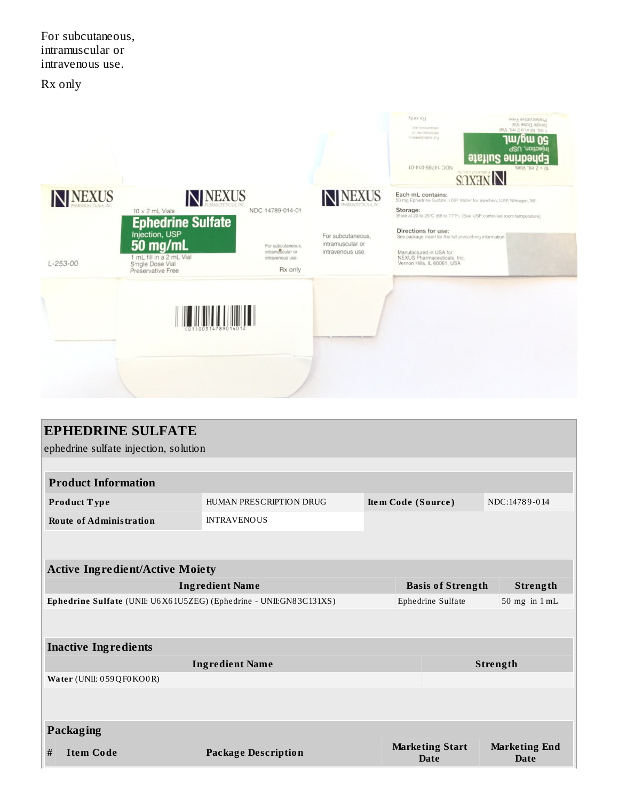For subcutaneous, intramuscular or intravenous use.

Rx only



| <b>EPHEDRINE SULFATE</b>                                             |  |                            |                    |                                        |                              |  |  |  |  |
|----------------------------------------------------------------------|--|----------------------------|--------------------|----------------------------------------|------------------------------|--|--|--|--|
| ephedrine sulfate injection, solution                                |  |                            |                    |                                        |                              |  |  |  |  |
|                                                                      |  |                            |                    |                                        |                              |  |  |  |  |
| <b>Product Information</b>                                           |  |                            |                    |                                        |                              |  |  |  |  |
| Product Type                                                         |  | HUMAN PRESCRIPTION DRUG    | Item Code (Source) |                                        | NDC:14789-014                |  |  |  |  |
| <b>Route of Administration</b>                                       |  | <b>INTRAVENOUS</b>         |                    |                                        |                              |  |  |  |  |
|                                                                      |  |                            |                    |                                        |                              |  |  |  |  |
|                                                                      |  |                            |                    |                                        |                              |  |  |  |  |
| <b>Active Ingredient/Active Moiety</b>                               |  |                            |                    |                                        |                              |  |  |  |  |
| <b>Ingredient Name</b>                                               |  |                            |                    | <b>Basis of Strength</b><br>Strength   |                              |  |  |  |  |
| Ephedrine Sulfate (UNII: U6 X6 1U5ZEG) (Ephedrine - UNII:GN83C131XS) |  |                            |                    | Ephedrine Sulfate<br>$50$ mg in $1$ mL |                              |  |  |  |  |
|                                                                      |  |                            |                    |                                        |                              |  |  |  |  |
| <b>Inactive Ingredients</b>                                          |  |                            |                    |                                        |                              |  |  |  |  |
| <b>Ingredient Name</b>                                               |  |                            |                    |                                        | Strength                     |  |  |  |  |
| Water (UNII: 059QF0KO0R)                                             |  |                            |                    |                                        |                              |  |  |  |  |
|                                                                      |  |                            |                    |                                        |                              |  |  |  |  |
|                                                                      |  |                            |                    |                                        |                              |  |  |  |  |
| Packaging                                                            |  |                            |                    |                                        |                              |  |  |  |  |
| <b>Item Code</b><br>#                                                |  | <b>Package Description</b> |                    | <b>Marketing Start</b><br><b>Date</b>  | <b>Marketing End</b><br>Date |  |  |  |  |